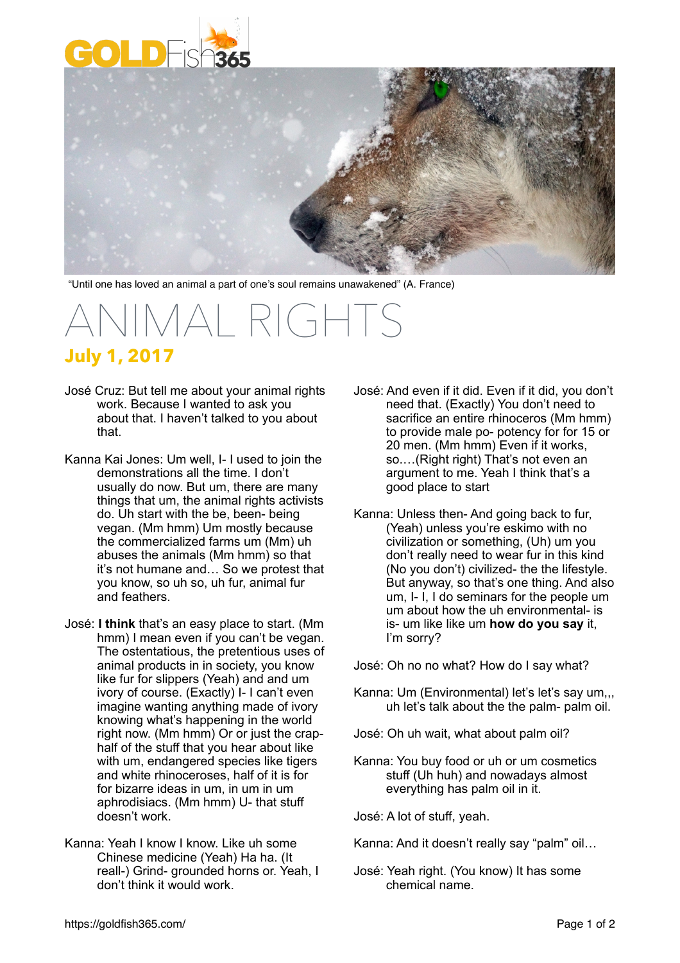



"Until one has loved an animal a part of one's soul remains unawakened" (A. France)

## $\triangle$ I $\triangle$ I $\triangle$ I $\triangle$ **July 1, 2017**

- José Cruz: But tell me about your animal rights work. Because I wanted to ask you about that. I haven't talked to you about that.
- Kanna Kai Jones: Um well, I- I used to join the demonstrations all the time. I don't usually do now. But um, there are many things that um, the animal rights activists do. Uh start with the be, been- being vegan. (Mm hmm) Um mostly because the commercialized farms um (Mm) uh abuses the animals (Mm hmm) so that it's not humane and… So we protest that you know, so uh so, uh fur, animal fur and feathers.
- José: **I think** that's an easy place to start. (Mm hmm) I mean even if you can't be vegan. The ostentatious, the pretentious uses of animal products in in society, you know like fur for slippers (Yeah) and and um ivory of course. (Exactly) I- I can't even imagine wanting anything made of ivory knowing what's happening in the world right now. (Mm hmm) Or or just the craphalf of the stuff that you hear about like with um, endangered species like tigers and white rhinoceroses, half of it is for for bizarre ideas in um, in um in um aphrodisiacs. (Mm hmm) U- that stuff doesn't work.
- Kanna: Yeah I know I know. Like uh some Chinese medicine (Yeah) Ha ha. (It reall-) Grind- grounded horns or. Yeah, I don't think it would work.
- José: And even if it did. Even if it did, you don't need that. (Exactly) You don't need to sacrifice an entire rhinoceros (Mm hmm) to provide male po- potency for for 15 or 20 men. (Mm hmm) Even if it works, so.…(Right right) That's not even an argument to me. Yeah I think that's a good place to start
- Kanna: Unless then- And going back to fur, (Yeah) unless you're eskimo with no civilization or something, (Uh) um you don't really need to wear fur in this kind (No you don't) civilized- the the lifestyle. But anyway, so that's one thing. And also um, I- I, I do seminars for the people um um about how the uh environmental- is is- um like like um **how do you say** it, I'm sorry?

José: Oh no no what? How do I say what?

- Kanna: Um (Environmental) let's let's say um,,, uh let's talk about the the palm- palm oil.
- José: Oh uh wait, what about palm oil?
- Kanna: You buy food or uh or um cosmetics stuff (Uh huh) and nowadays almost everything has palm oil in it.

José: A lot of stuff, yeah.

Kanna: And it doesn't really say "palm" oil…

José: Yeah right. (You know) It has some chemical name.